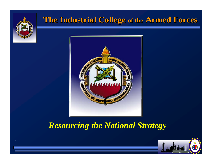

1

#### **The Industrial College of the Armed Forces**



*Resourcing the National Strategy*

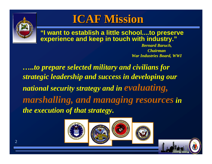

## **ICAF Mission ICAF Mission**

**"I want to establish a little school....to preserve experience and keep in touch with industry."**

> *Bernard Baruch, ChairmanWar Industries Board, WWI*

*…..to prepare selected military and civilians for strategic leadership and success in developing our national security strategy and in evaluating, marshalling, and managing resources in the execution of that strategy.*



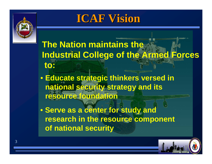

# **ICAF Vision ICAF Vision**

### **The Nation maintains the Industrial College of the Armed Forces to:**

- **Educate strategic thinkers versed in national security strategy and its resource foundation**
- **Serve as a center for study and research in the resource component of national security**

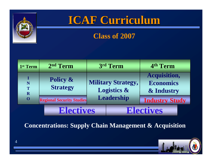

# **ICAF Curriculum ICAF Curriculum**

#### **Class of 2007**

| 1 <sup>st</sup> Term       | 2 <sup>nd</sup> Term                   | 3rd Term   |                                                     | 4th Term                                       |
|----------------------------|----------------------------------------|------------|-----------------------------------------------------|------------------------------------------------|
| I<br>N<br>T<br>$\mathbf R$ | <b>Policy &amp;</b><br><b>Strategy</b> |            | <b>Military Strategy,</b><br><b>Logistics &amp;</b> | <b>Acquisition,</b><br>Economics<br>& Industry |
| $\mathbf 0$                | <b>Regional Security Studies</b>       | Leadership |                                                     | <b>Industry Study</b>                          |
|                            | <b>Electives</b>                       |            | <b>Electives</b>                                    |                                                |

**Concentrations: Supply Chain Management & Acquisition**

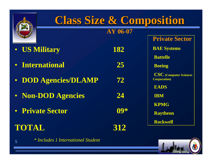

# **Class Size & Composition Class Size & Composition**

**AY 06-07**

#### $\bullet$ **US Military 182**

- $\bullet$ **International 25**
- **DOD Agencies/DLAMP 72**
- **Non-DOD Agencies 24**
- **Private Sector 09\***

### **TOTAL**

5

*\* Includes 1 International Student*

**312**

**Private Sector BAE Systems BattelleBoeing CSC (Computer Sciences Corporation)**

**EADS**

**IBM**

**KPMG**

**Raytheon**

**Rockwell**

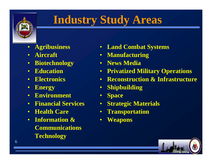

# **Industry Study Areas**

- **Agribusiness**
- $\bullet$ **Aircraft**
- **Biotechnology**
- $\bullet$ **Education**
- **Electronics**
- •**Energy**
- **Environment**
- **Financial Services**
- $\bullet$ **Health Care**
- **Information & Communications Technology**
- **Land Combat Systems**
- **Manufacturing**
- **News Media**
- **Privatized Military Operations**
- **Reconstruction & Infrastructure**
- $\bullet$ **Shipbuilding**
- •**Space**
- •**Strategic Materials**
- $\bullet$ **Transportation**
- $\bullet$ **Weapons**

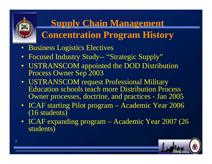

# **Supply Chain Management**

# **Concentration Program History**

- Business Logistics Electives
- $\bullet$ Focused Industry Study-- "Strategic Supply"
- USTRANSCOM appointed the DOD Distribution Process Owner Sep 2003
- USTRANSCOM request Professional Military Education schools teach more Distribution Process Owner processes, doctrine, and practices - Jan 2005
- ICAF starting Pilot program Academic Year 2006 (16 students)
- ICAF expanding program Academic Year 2007 (26 students)

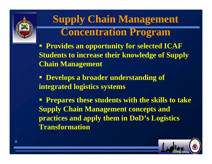

# **Supply Chain Management Concentration Program**

 **Provides an opportunity for selected ICAF Students to increase their knowledge of Supply Chain Management**

 **Develops a broader understanding of integrated logistics systems**

**Prepares these students with the skills to take Supply Chain Management concepts and practices and apply them in DoD's Logistics Transformation**